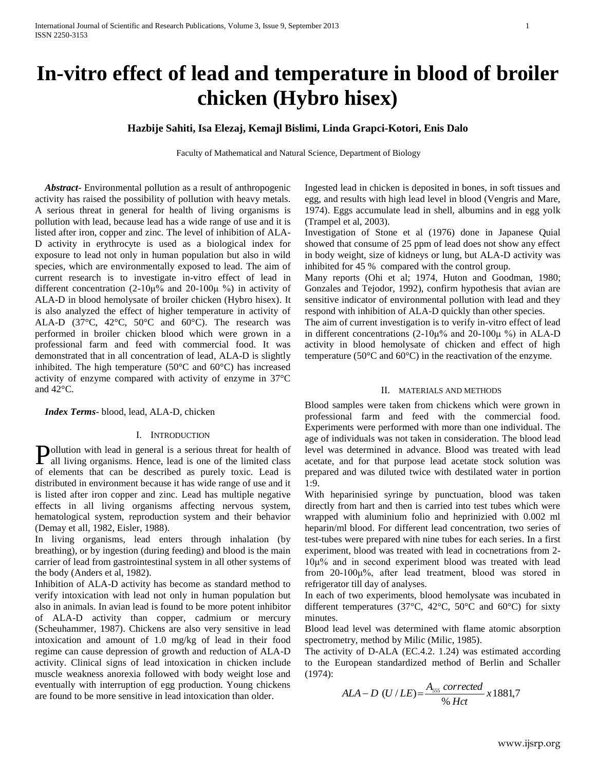# **Hazbije Sahiti, Isa Elezaj, Kemajl Bislimi, Linda Grapci-Kotori, Enis Dalo**

Faculty of Mathematical and Natural Science, Department of Biology

 *Abstract***-** Environmental pollution as a result of anthropogenic activity has raised the possibility of pollution with heavy metals. A serious threat in general for health of living organisms is pollution with lead, because lead has a wide range of use and it is listed after iron, copper and zinc. The level of inhibition of ALA-D activity in erythrocyte is used as a biological index for exposure to lead not only in human population but also in wild species, which are environmentally exposed to lead. The aim of current research is to investigate in-vitro effect of lead in different concentration (2-10μ% and 20-100μ %) in activity of ALA-D in blood hemolysate of broiler chicken (Hybro hisex). It is also analyzed the effect of higher temperature in activity of ALA-D (37 $\degree$ C, 42 $\degree$ C, 50 $\degree$ C and 60 $\degree$ C). The research was performed in broiler chicken blood which were grown in a professional farm and feed with commercial food. It was demonstrated that in all concentration of lead, ALA-D is slightly inhibited. The high temperature (50°C and 60°C) has increased activity of enzyme compared with activity of enzyme in 37°C and 42°C.

 *Index Terms*- blood, lead, ALA-D, chicken

#### I. INTRODUCTION

ollution with lead in general is a serious threat for health of **P**ollution with lead in general is a serious threat for health of all living organisms. Hence, lead is one of the limited class of elements that can be described as purely toxic. Lead is distributed in environment because it has wide range of use and it is listed after iron copper and zinc. Lead has multiple negative effects in all living organisms affecting nervous system, hematological system, reproduction system and their behavior (Demay et all, 1982, Eisler, 1988).

In living organisms, lead enters through inhalation (by breathing), or by ingestion (during feeding) and blood is the main carrier of lead from gastrointestinal system in all other systems of the body (Anders et al, 1982).

Inhibition of ALA-D activity has become as standard method to verify intoxication with lead not only in human population but also in animals. In avian lead is found to be more potent inhibitor of ALA-D activity than copper, cadmium or mercury (Scheuhammer, 1987). Chickens are also very sensitive in lead intoxication and amount of 1.0 mg/kg of lead in their food regime can cause depression of growth and reduction of ALA-D activity. Clinical signs of lead intoxication in chicken include muscle weakness anorexia followed with body weight lose and eventually with interruption of egg production. Young chickens are found to be more sensitive in lead intoxication than older.

Ingested lead in chicken is deposited in bones, in soft tissues and egg, and results with high lead level in blood (Vengris and Mare, 1974). Eggs accumulate lead in shell, albumins and in egg yolk (Trampel et al, 2003).

Investigation of Stone et al (1976) done in Japanese Quial showed that consume of 25 ppm of lead does not show any effect in body weight, size of kidneys or lung, but ALA-D activity was inhibited for 45 % compared with the control group.

Many reports (Ohi et al; 1974, Huton and Goodman, 1980; Gonzales and Tejodor, 1992), confirm hypothesis that avian are sensitive indicator of environmental pollution with lead and they respond with inhibition of ALA-D quickly than other species.

The aim of current investigation is to verify in-vitro effect of lead in different concentrations (2-10 $\mu$ % and 20-100 $\mu$  %) in ALA-D activity in blood hemolysate of chicken and effect of high temperature (50°C and 60°C) in the reactivation of the enzyme.

## II. MATERIALS AND METHODS

Blood samples were taken from chickens which were grown in professional farm and feed with the commercial food. Experiments were performed with more than one individual. The age of individuals was not taken in consideration. The blood lead level was determined in advance. Blood was treated with lead acetate, and for that purpose lead acetate stock solution was prepared and was diluted twice with destilated water in portion 1:9.

With heparinisied syringe by punctuation, blood was taken directly from hart and then is carried into test tubes which were wrapped with aluminium folio and heprinizied with 0.002 ml heparin/ml blood. For different lead concentration, two series of test-tubes were prepared with nine tubes for each series. In a first experiment, blood was treated with lead in cocnetrations from 2- 10μ% and in second experiment blood was treated with lead from 20-100μ%, after lead treatment, blood was stored in refrigerator till day of analyses.

In each of two experiments, blood hemolysate was incubated in different temperatures (37 $^{\circ}$ C, 42 $^{\circ}$ C, 50 $^{\circ}$ C and 60 $^{\circ}$ C) for sixty minutes.

Blood lead level was determined with flame atomic absorption spectrometry, method by Milic (Milic, 1985).

The activity of D-ALA (EC.4.2. 1.24) was estimated according to the European standardized method of Berlin and Schaller (1974):

$$
ALA-D (U/LE) = \frac{A_{\rm 555}~corrected}{\%~Het} x 1881,7
$$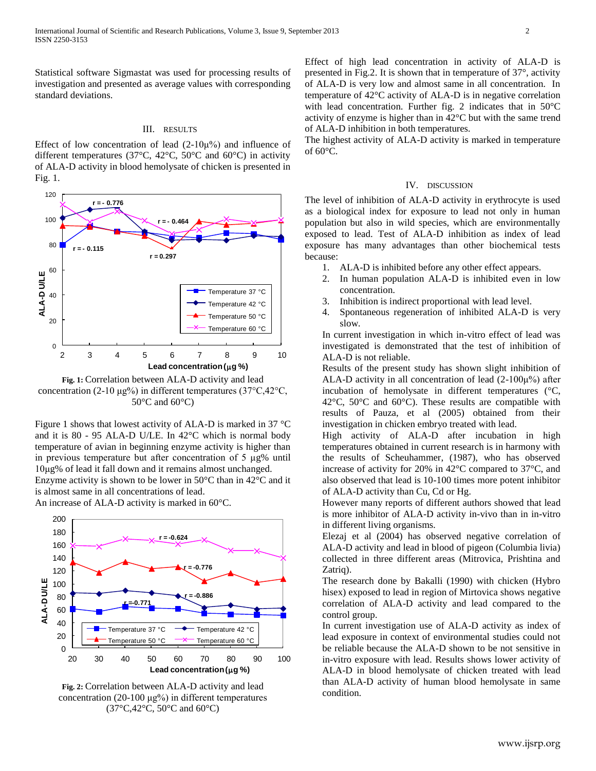Statistical software Sigmastat was used for processing results of investigation and presented as average values with corresponding standard deviations.

### III. RESULTS

Effect of low concentration of lead  $(2-10\mu\%)$  and influence of different temperatures (37°C, 42°C, 50°C and 60°C) in activity of ALA-D activity in blood hemolysate of chicken is presented in Fig. 1.



**Fig. 1:** Correlation between ALA-D activity and lead concentration (2-10  $\mu$ g%) in different temperatures (37°C,42°C,  $50^{\circ}$ C and  $60^{\circ}$ C)

Figure 1 shows that lowest activity of ALA-D is marked in 37  $\degree$ C and it is 80 - 95 ALA-D U/LE. In 42°C which is normal body temperature of avian in beginning enzyme activity is higher than in previous temperature but after concentration of 5 μg% until 10μg% of lead it fall down and it remains almost unchanged.

Enzyme activity is shown to be lower in  $50^{\circ}$ C than in 42 $^{\circ}$ C and it is almost same in all concentrations of lead.

An increase of ALA-D activity is marked in 60°C.



**Fig. 2:** Correlation between ALA-D activity and lead concentration (20-100 μg%) in different temperatures (37°C,42°C, 50°C and 60°C)

Effect of high lead concentration in activity of ALA-D is presented in Fig.2. It is shown that in temperature of 37°, activity of ALA-D is very low and almost same in all concentration. In temperature of 42°C activity of ALA-D is in negative correlation with lead concentration. Further fig. 2 indicates that in 50°C activity of enzyme is higher than in 42°C but with the same trend of ALA-D inhibition in both temperatures.

The highest activity of ALA-D activity is marked in temperature of  $60^{\circ}$ C.

#### IV. DISCUSSION

The level of inhibition of ALA-D activity in erythrocyte is used as a biological index for exposure to lead not only in human population but also in wild species, which are environmentally exposed to lead. Test of ALA-D inhibition as index of lead exposure has many advantages than other biochemical tests because:

- 1. ALA-D is inhibited before any other effect appears.
- 2. In human population ALA-D is inhibited even in low concentration.
- 3. Inhibition is indirect proportional with lead level.
- 4. Spontaneous regeneration of inhibited ALA-D is very slow.

In current investigation in which in-vitro effect of lead was investigated is demonstrated that the test of inhibition of ALA-D is not reliable.

Results of the present study has shown slight inhibition of ALA-D activity in all concentration of lead  $(2-100\mu\%)$  after incubation of hemolysate in different temperatures (°C, 42°C, 50°C and 60°C). These results are compatible with results of Pauza, et al (2005) obtained from their investigation in chicken embryo treated with lead.

High activity of ALA-D after incubation in high temperatures obtained in current research is in harmony with the results of Scheuhammer, (1987), who has observed increase of activity for 20% in 42°C compared to 37°C, and also observed that lead is 10-100 times more potent inhibitor of ALA-D activity than Cu, Cd or Hg.

However many reports of different authors showed that lead is more inhibitor of ALA-D activity in-vivo than in in-vitro in different living organisms.

Elezaj et al (2004) has observed negative correlation of ALA-D activity and lead in blood of pigeon (Columbia livia) collected in three different areas (Mitrovica, Prishtina and Zatrig).

The research done by Bakalli (1990) with chicken (Hybro hisex) exposed to lead in region of Mirtovica shows negative correlation of ALA-D activity and lead compared to the control group.

In current investigation use of ALA-D activity as index of lead exposure in context of environmental studies could not be reliable because the ALA-D shown to be not sensitive in in-vitro exposure with lead. Results shows lower activity of ALA-D in blood hemolysate of chicken treated with lead than ALA-D activity of human blood hemolysate in same condition.